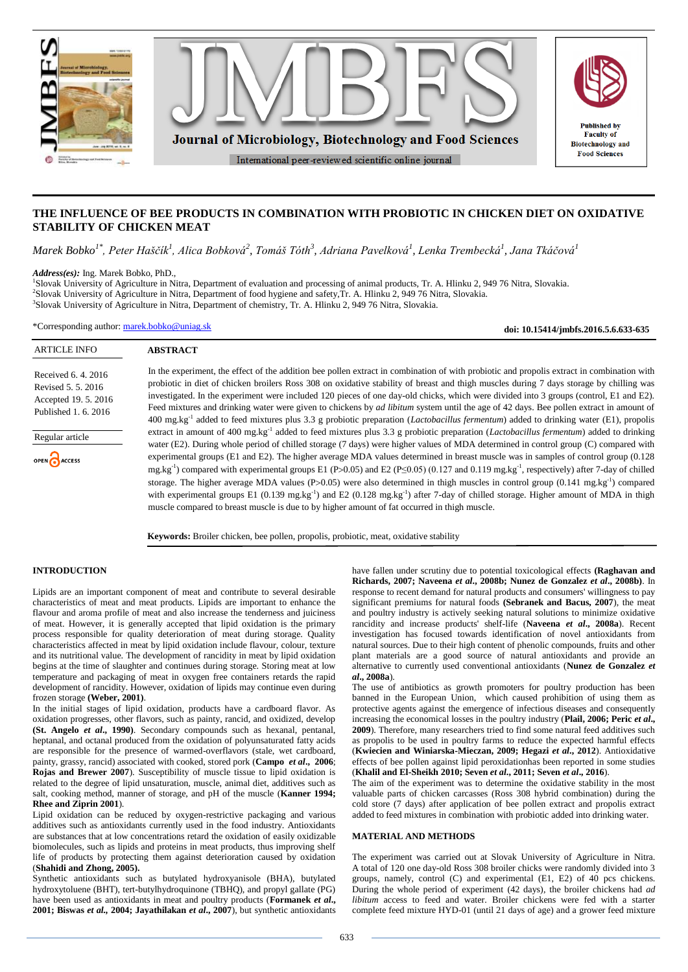

# **THE INFLUENCE OF BEE PRODUCTS IN COMBINATION WITH PROBIOTIC IN CHICKEN DIET ON OXIDATIVE STABILITY OF CHICKEN MEAT**

*Marek Bobko1\* , Peter Haščík<sup>1</sup> , Alica Bobková<sup>2</sup> , Tomáš Tóth<sup>3</sup> , Adriana Pavelková<sup>1</sup> , Lenka Trembecká<sup>1</sup> , Jana Tkáčová<sup>1</sup>*

*Address(es):* Ing. Marek Bobko, PhD.,

1 Slovak University of Agriculture in Nitra, Department of evaluation and processing of animal products, Tr. A. Hlinku 2, 949 76 Nitra, Slovakia. 2 Slovak University of Agriculture in Nitra, Department of food hygiene and safety,Tr. A. Hlinku 2, 949 76 Nitra, Slovakia. 3 Slovak University of Agriculture in Nitra, Department of chemistry, Tr. A. Hlinku 2, 949 76 Nitra, Slovakia.

\*Corresponding author: [marek.bobko@uniag.sk](mailto:marek.bobko@uniag.sk)

**ABSTRACT**

**doi: 10.15414/jmbfs.2016.5.6.633-635**

## ARTICLE INFO

Received 6. 4. 2016 Revised 5. 5. 2016 Accepted 19. 5. 2016 Published 1. 6. 2016

Regular article

OPEN ACCESS

In the experiment, the effect of the addition bee pollen extract in combination of with probiotic and propolis extract in combination with probiotic in diet of chicken broilers Ross 308 on oxidative stability of breast and thigh muscles during 7 days storage by chilling was investigated. In the experiment were included 120 pieces of one day-old chicks, which were divided into 3 groups (control, E1 and E2). Feed mixtures and drinking water were given to chickens by *ad libitum* system until the age of 42 days. Bee pollen extract in amount of 400 mg.kg-1 added to feed mixtures plus 3.3 g probiotic preparation (*Lactobacillus fermentum*) added to drinking water (E1), propolis extract in amount of 400 mg.kg<sup>-1</sup> added to feed mixtures plus 3.3 g probiotic preparation (*Lactobacillus fermentum*) added to drinking water (E2). During whole period of chilled storage (7 days) were higher values of MDA determined in control group (C) compared with experimental groups (E1 and E2). The higher average MDA values determined in breast muscle was in samples of control group (0.128 mg.kg<sup>-1</sup>) compared with experimental groups E1 (P>0.05) and E2 (P≤0.05) (0.127 and 0.119 mg.kg<sup>-1</sup>, respectively) after 7-day of chilled storage. The higher average MDA values (P>0.05) were also determined in thigh muscles in control group (0.141 mg.kg<sup>-1</sup>) compared with experimental groups E1 (0.139 mg.kg<sup>-1</sup>) and E2 (0.128 mg.kg<sup>-1</sup>) after 7-day of chilled storage. Higher amount of MDA in thigh muscle compared to breast muscle is due to by higher amount of fat occurred in thigh muscle.

**Keywords:** Broiler chicken, bee pollen, propolis, probiotic, meat, oxidative stability

## **INTRODUCTION**

Lipids are an important component of meat and contribute to several desirable characteristics of meat and meat products. Lipids are important to enhance the flavour and aroma profile of meat and also increase the tenderness and juiciness of meat. However, it is generally accepted that lipid oxidation is the primary process responsible for quality deterioration of meat during storage. Quality characteristics affected in meat by lipid oxidation include flavour, colour, texture and its nutritional value. The development of rancidity in meat by lipid oxidation begins at the time of slaughter and continues during storage. Storing meat at low temperature and packaging of meat in oxygen free containers retards the rapid development of rancidity. However, oxidation of lipids may continue even during frozen storage **(Weber, 2001)**.

In the initial stages of lipid oxidation, products have a cardboard flavor. As oxidation progresses, other flavors, such as painty, rancid, and oxidized, develop **(St. Angelo** *et al***., 1990)**. Secondary compounds such as hexanal, pentanal, heptanal, and octanal produced from the oxidation of polyunsaturated fatty acids are responsible for the presence of warmed-overflavors (stale, wet cardboard, painty, grassy, rancid) associated with cooked, stored pork (**Campo** *et al***., 2006**; **Rojas and Brewer 2007**). Susceptibility of muscle tissue to lipid oxidation is related to the degree of lipid unsaturation, muscle, animal diet, additives such as salt, cooking method, manner of storage, and pH of the muscle (**Kanner 1994; Rhee and Ziprin 2001**).

Lipid oxidation can be reduced by oxygen-restrictive packaging and various additives such as antioxidants currently used in the food industry. Antioxidants are substances that at low concentrations retard the oxidation of easily oxidizable biomolecules, such as lipids and proteins in meat products, thus improving shelf life of products by protecting them against deterioration caused by oxidation (**Shahidi and Zhong, 2005).**

Synthetic antioxidants such as butylated hydroxyanisole (BHA), butylated hydroxytoluene (BHT), tert-butylhydroquinone (TBHQ), and propyl gallate (PG) have been used as antioxidants in meat and poultry products (**Formanek** *et al***., 2001; Biswas** *et al.,* **2004; Jayathilakan** *et al***., 2007**), but synthetic antioxidants have fallen under scrutiny due to potential toxicological effects **(Raghavan and Richards, 2007; Naveena** *et al***., 2008b; Nunez de Gonzalez** *et al***., 2008b)**. In response to recent demand for natural products and consumers' willingness to pay significant premiums for natural foods **(Sebranek and Bacus, 2007**), the meat and poultry industry is actively seeking natural solutions to minimize oxidative rancidity and increase products' shelf-life (**Naveena** *et al***., 2008a**). Recent investigation has focused towards identification of novel antioxidants from natural sources. Due to their high content of phenolic compounds, fruits and other plant materials are a good source of natural antioxidants and provide an alternative to currently used conventional antioxidants (**Nunez de Gonzalez** *et al***., 2008a**).

The use of antibiotics as growth promoters for poultry production has been banned in the European Union, which caused prohibition of using them as protective agents against the emergence of infectious diseases and consequently increasing the economical losses in the poultry industry (Plail, 2006; Peric *et al.*, **2009**). Therefore, many researchers tried to find some natural feed additives such as propolis to be used in poultry farms to reduce the expected harmful effects (**Kwiecien and Winiarska-Mieczan, 2009; Hegazi** *et al***., 2012**). Antioxidative effects of bee pollen against lipid peroxidationhas been reported in some studies (**Khalil and El-Sheikh 2010; Seven** *et al***., 2011; Seven** *et al***., 2016**).

The aim of the experiment was to determine the oxidative stability in the most valuable parts of chicken carcasses (Ross 308 hybrid combination) during the cold store (7 days) after application of bee pollen extract and propolis extract added to feed mixtures in combination with probiotic added into drinking water.

## **MATERIAL AND METHODS**

The experiment was carried out at Slovak University of Agriculture in Nitra. A total of 120 one day-old Ross 308 broiler chicks were randomly divided into 3 groups, namely, control (C) and experimental (E1, E2) of 40 pcs chickens. During the whole period of experiment (42 days), the broiler chickens had *ad libitum* access to feed and water. Broiler chickens were fed with a starter complete feed mixture HYD-01 (until 21 days of age) and a grower feed mixture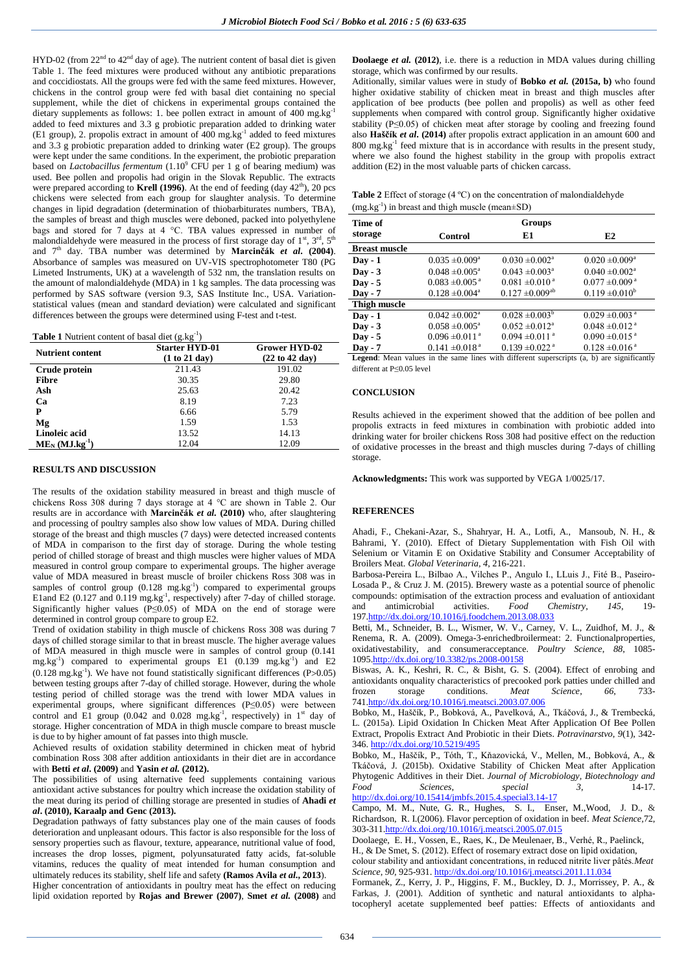HYD-02 (from  $22<sup>nd</sup>$  to  $42<sup>nd</sup>$  day of age). The nutrient content of basal diet is given Table 1. The feed mixtures were produced without any antibiotic preparations and coccidiostats. All the groups were fed with the same feed mixtures. However, chickens in the control group were fed with basal diet containing no special supplement, while the diet of chickens in experimental groups contained the dietary supplements as follows: 1. bee pollen extract in amount of 400 mg.kg<sup>-1</sup> added to feed mixtures and 3.3 g probiotic preparation added to drinking water (E1 group), 2. propolis extract in amount of 400 mg.kg-1 added to feed mixtures and 3.3 g probiotic preparation added to drinking water (E2 group). The groups were kept under the same conditions. In the experiment, the probiotic preparation based on *Lactobacillus fermentum* (1.10<sup>9</sup> CFU per 1 g of bearing medium) was used. Bee pollen and propolis had origin in the Slovak Republic. The extracts were prepared according to **Krell (1996**). At the end of feeding (day  $42<sup>th</sup>$ ), 20 pcs chickens were selected from each group for slaughter analysis. To determine changes in lipid degradation (determination of thiobarbiturates numbers, TBA), the samples of breast and thigh muscles were deboned, packed into polyethylene bags and stored for 7 days at 4 °C. TBA values expressed in number of malondialdehyde were measured in the process of first storage day of  $1<sup>st</sup>$ ,  $3<sup>rd</sup>$ ,  $5<sup>th</sup>$ and 7<sup>th</sup> day. TBA number was determined by **Marcinčák et al. (2004)**. Absorbance of samples was measured on UV-VIS spectrophotometer T80 (PG Limeted Instruments, UK) at a wavelength of 532 nm, the translation results on the amount of malondialdehyde (MDA) in 1 kg samples. The data processing was performed by SAS software (version 9.3, SAS Institute Inc., USA. Variationstatistical values (mean and standard deviation) were calculated and significant differences between the groups were determined using F-test and t-test.

| <b>Table 1</b> Nutrient content of basal diet $(g.kg^{-1})$ |  |
|-------------------------------------------------------------|--|
|-------------------------------------------------------------|--|

| <b>Table 1</b> INDITION CONCILE OF Dasal GIGT (g.Kg) |                                        |  |  |  |  |  |
|------------------------------------------------------|----------------------------------------|--|--|--|--|--|
| <b>Starter HYD-01</b><br>(1 to 21 day)               | <b>Grower HYD-02</b><br>(22 to 42 day) |  |  |  |  |  |
| 211.43                                               | 191.02                                 |  |  |  |  |  |
| 30.35                                                | 29.80                                  |  |  |  |  |  |
| 25.63                                                | 20.42                                  |  |  |  |  |  |
| 8.19                                                 | 7.23                                   |  |  |  |  |  |
| 6.66                                                 | 5.79                                   |  |  |  |  |  |
| 1.59                                                 | 1.53                                   |  |  |  |  |  |
| 13.52                                                | 14.13                                  |  |  |  |  |  |
| 12.04                                                | 12.09                                  |  |  |  |  |  |
|                                                      |                                        |  |  |  |  |  |

#### **RESULTS AND DISCUSSION**

The results of the oxidation stability measured in breast and thigh muscle of chickens Ross 308 during 7 days storage at 4 °C are shown in Table 2. Our results are in accordance with **Marcinčák** *et al.* **(2010)** who, after slaughtering and processing of poultry samples also show low values of MDA. During chilled storage of the breast and thigh muscles (7 days) were detected increased contents of MDA in comparison to the first day of storage. During the whole testing period of chilled storage of breast and thigh muscles were higher values of MDA measured in control group compare to experimental groups. The higher average value of MDA measured in breast muscle of broiler chickens Ross 308 was in samples of control group  $(0.128 \text{ mg} \cdot \text{kg}^{-1})$  compared to experimental groups E1and E2 (0.127 and 0.119 mg.kg<sup>-1</sup>, respectively) after 7-day of chilled storage. Significantly higher values (P≤0.05) of MDA on the end of storage were determined in control group compare to group E2.

Trend of oxidation stability in thigh muscle of chickens Ross 308 was during 7 days of chilled storage similar to that in breast muscle. The higher average values of MDA measured in thigh muscle were in samples of control group (0.141 mg.kg<sup>-1</sup>) compared to experimental groups  $E1(0.139 \text{ mg} \cdot \text{kg}^{-1})$  and  $E2$  $(0.128 \text{ mg} \cdot \text{kg}^{-1})$ . We have not found statistically significant differences (P>0.05) between testing groups after 7-day of chilled storage. However, during the whole testing period of chilled storage was the trend with lower MDA values in experimental groups, where significant differences (P≤0.05) were between control and E1 group  $(0.042 \text{ and } 0.028 \text{ mg} \cdot \text{kg}^{-1})$ , respectively) in 1<sup>st</sup> day of storage. Higher concentration of MDA in thigh muscle compare to breast muscle is due to by higher amount of fat passes into thigh muscle.

Achieved results of oxidation stability determined in chicken meat of hybrid combination Ross 308 after addition antioxidants in their diet are in accordance with **Betti** *et al***. (2009)** and **Yasin** *et al.* **(2012).**

The possibilities of using alternative feed supplements containing various antioxidant active substances for poultry which increase the oxidation stability of the meat during its period of chilling storage are presented in studies of **Ahadi** *et al***. (2010), Karaalp and Genc (2013).**

Degradation pathways of fatty substances play one of the main causes of foods deterioration and unpleasant odours. This factor is also responsible for the loss of sensory properties such as flavour, texture, appearance, nutritional value of food, increases the drop losses, pigment, polyunsaturated fatty acids, fat-soluble vitamins, reduces the quality of meat intended for human consumption and ultimately reduces its stability, shelf life and safety **(Ramos Avila** *et al***., 2013**).

Higher concentration of antioxidants in poultry meat has the effect on reducing lipid oxidation reported by **Rojas and Brewer (2007)**, **Smet** *et al.* **(2008)** and **Doolaege** *et al.* (2012), i.e. there is a reduction in MDA values during chilling storage, which was confirmed by our results.

Aditionally, similar values were in study of **Bobko** *et al.* **(2015a, b)** who found higher oxidative stability of chicken meat in breast and thigh muscles after application of bee products (bee pollen and propolis) as well as other feed supplements when compared with control group. Significantly higher oxidative stability (P≤0.05) of chicken meat after storage by cooling and freezing found also **Haščík** *et al***. (2014)** after propolis extract application in an amount 600 and 800 mg.kg-1 feed mixture that is in accordance with results in the present study, where we also found the highest stability in the group with propolis extract addition (E2) in the most valuable parts of chicken carcass.

| <b>Table 2</b> Effect of storage $(4 \degree C)$ on the concentration of malondial dehyde |
|-------------------------------------------------------------------------------------------|
| $(mg.kg^{-1})$ in breast and thigh muscle (mean $\pm SD$ )                                |

| Time of              |                                | Groups                          |                                |
|----------------------|--------------------------------|---------------------------------|--------------------------------|
| storage              | Control                        | E1                              | E2                             |
| <b>Breast muscle</b> |                                |                                 |                                |
| $Day - 1$            | $0.035 \pm 0.009^{\circ}$      | $0.030 \pm 0.002$ <sup>a</sup>  | $0.020 \pm 0.009^a$            |
| $\bf{D}$ av - 3      | $0.048 \pm 0.005^a$            | $0.043 \pm 0.003$ <sup>a</sup>  | $0.040 \pm 0.002$ <sup>a</sup> |
| $Day - 5$            | $0.083 \pm 0.005$ <sup>a</sup> | $0.081 \pm 0.010^{\text{a}}$    | $0.077 \pm 0.009$ <sup>a</sup> |
| $\bf{D}$ av - 7      | $0.128 \pm 0.004$ <sup>a</sup> | $0.127 \pm 0.009$ <sup>ab</sup> | $0.119 \pm 0.010^b$            |
| <b>Thigh muscle</b>  |                                |                                 |                                |
| $\bf{D}$ av - 1      | $0.042 \pm 0.002$ <sup>a</sup> | $0.028 \pm 0.003^b$             | $0.029 \pm 0.003$ <sup>a</sup> |
| $Day - 3$            | $0.058 \pm 0.005^a$            | $0.052 \pm 0.012$ <sup>a</sup>  | $0.048 \pm 0.012$ <sup>a</sup> |
| $Day - 5$            | $0.096 \pm 0.011$ <sup>a</sup> | $0.094 \pm 0.011$ <sup>a</sup>  | $0.090 \pm 0.015$ <sup>a</sup> |
| $Day - 7$            | $0.141 \pm 0.018$ <sup>a</sup> | $0.139 \pm 0.022$ <sup>a</sup>  | $0.128 \pm 0.016$ <sup>a</sup> |

**Legend**: Mean values in the same lines with different superscripts (a, b) are significantly different at P≤0.05 level

### **CONCLUSION**

Results achieved in the experiment showed that the addition of bee pollen and propolis extracts in feed mixtures in combination with probiotic added into drinking water for broiler chickens Ross 308 had positive effect on the reduction of oxidative processes in the breast and thigh muscles during 7-days of chilling storage.

**Acknowledgments:** This work was supported by VEGA 1/0025/17.

### **REFERENCES**

Ahadi, F., Chekani-Azar, S., Shahryar, H. A., Lotfi, A., Mansoub, N. H., & Bahrami, Y. (2010). Effect of Dietary Supplementation with Fish Oil with Selenium or Vitamin E on Oxidative Stability and Consumer Acceptability of Broilers Meat. *Global Veterinaria*, *4*, 216-221.

Barbosa-Pereira L., Bilbao A., Vilches P., Angulo I., LLuis J., Fité B., Paseiro-Losada P., & Cruz J. M. (2015). Brewery waste as a potential source of phenolic compounds: optimisation of the extraction process and evaluation of antioxidant and antimicrobial activities. Food Chemistry, 145, 19and antimicrobial activities. *Food Chemistry*, *145*, 19- 19[7.http://dx.doi.org/10.1016/j.foodchem.2013.08.033](http://dx.doi.org/10.1016/j.foodchem.2013.08.033)

Betti, M., Schneider, B. L., Wismer, W. V., Carney, V. L., Zuidhof, M. J., & Renema, R. A. (2009). Omega-3-enrichedbroilermeat: 2. Functionalproperties, oxidativestability, and consumeracceptance. *Poultry Science*, *88*, 1085- 109[5.http://dx.doi.org/10.3382/ps.2008-00158](http://dx.doi.org/10.3382/ps.2008-00158) 

Biswas, A. K., Keshri, R. C., & Bisht, G. S. (2004). Effect of enrobing and antioxidants onquality characteristics of precooked pork patties under chilled and<br>frozen storage conditions *Meat* Science 66 733frozen storage conditions. *Meat* Science, 66, 74[1.http://dx.doi.org/10.1016/j.meatsci.2003.07.006](http://dx.doi.org/10.1016/j.meatsci.2003.07.006) 

Bobko, M., Haščík, P., Bobková, A., Pavelková, A., Tkáčová, J., & Trembecká, L. (2015a). Lipid Oxidation In Chicken Meat After Application Of Bee Pollen Extract, Propolis Extract And Probiotic in their Diets. *Potravinarstvo*, *9*(1), 342- 346[. http://dx.doi.org/10.5219/495](http://dx.doi.org/10.5219/495)

Bobko, M., Haščík, P., Tóth, T., Kňazovická, V., Mellen, M., Bobková, A., & Tkáčová, J. (2015b). Oxidative Stability of Chicken Meat after Application Phytogenic Additives in their Diet. *Journal of Microbiology, Biotechnology and Food Sciences*, *special 3*, 14-17. <http://dx.doi.org/10.15414/jmbfs.2015.4.special3.14-17>

Campo, M. M., Nute, G. R., Hughes, S. I., Enser, M.,Wood, J. D., & Richardson, R. I.(2006). Flavor perception of oxidation in beef. *Meat Science,*72, 303-31[1.http://dx.doi.org/10.1016/j.meatsci.2005.07.015](http://dx.doi.org/10.1016/j.meatsci.2005.07.015) 

[Doolaege, E. H.](http://www.ncbi.nlm.nih.gov/pubmed/?term=Doolaege%20EH%5BAuthor%5D&cauthor=true&cauthor_uid=22196091)[, Vossen, E.](http://www.ncbi.nlm.nih.gov/pubmed/?term=Vossen%20E%5BAuthor%5D&cauthor=true&cauthor_uid=22196091)[, Raes, K.,](http://www.ncbi.nlm.nih.gov/pubmed/?term=Raes%20K%5BAuthor%5D&cauthor=true&cauthor_uid=22196091) [De Meulenaer, B.](http://www.ncbi.nlm.nih.gov/pubmed/?term=De%20Meulenaer%20B%5BAuthor%5D&cauthor=true&cauthor_uid=22196091)[, Verhé, R.](http://www.ncbi.nlm.nih.gov/pubmed/?term=Verh%C3%A9%20R%5BAuthor%5D&cauthor=true&cauthor_uid=22196091)[, Paelinck,](http://www.ncbi.nlm.nih.gov/pubmed/?term=Paelinck%20H%5BAuthor%5D&cauthor=true&cauthor_uid=22196091)  [H.,](http://www.ncbi.nlm.nih.gov/pubmed/?term=Paelinck%20H%5BAuthor%5D&cauthor=true&cauthor_uid=22196091) & [De Smet, S.](http://www.ncbi.nlm.nih.gov/pubmed/?term=De%20Smet%20S%5BAuthor%5D&cauthor=true&cauthor_uid=22196091) (2012). Effect of rosemary extract dose on lipid oxidation,

colour stability and antioxidant concentrations, in reduced nitrite liver pâtés.*Meat Science*, *90*, 925-931. <http://dx.doi.org/10.1016/j.meatsci.2011.11.034>

Formanek, Z., Kerry, J. P., Higgins, F. M., Buckley, D. J., Morrissey, P. A., & Farkas, J. (2001). Addition of synthetic and natural antioxidants to alphatocopheryl acetate supplemented beef patties: Effects of antioxidants and